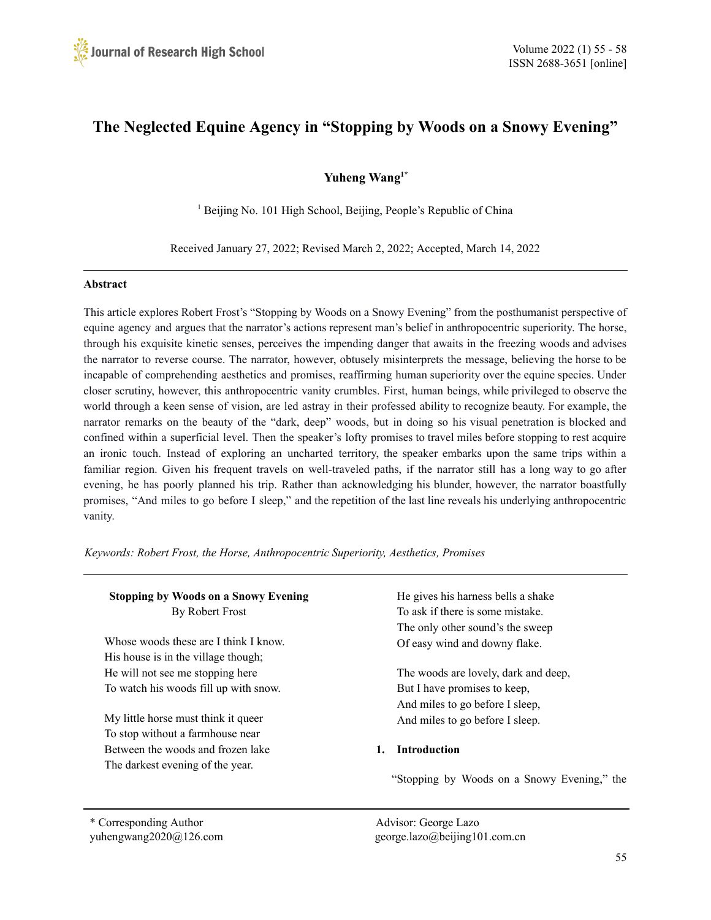# **The Neglected Equine Agency in "Stopping by Woods on a Snowy Evening"**

## **Yuheng Wang 1\***

<sup>1</sup> Beijing No. 101 High School, Beijing, People's Republic of China

Received January 27, 2022; Revised March 2, 2022; Accepted, March 14, 2022

#### **Abstract**

This article explores Robert Frost's "Stopping by Woods on a Snowy Evening" from the posthumanist perspective of equine agency and argues that the narrator's actions represent man's belief in anthropocentric superiority. The horse, through his exquisite kinetic senses, perceives the impending danger that awaits in the freezing woods and advises the narrator to reverse course. The narrator, however, obtusely misinterprets the message, believing the horse to be incapable of comprehending aesthetics and promises, reaffirming human superiority over the equine species. Under closer scrutiny, however, this anthropocentric vanity crumbles. First, human beings, while privileged to observe the world through a keen sense of vision, are led astray in their professed ability to recognize beauty. For example, the narrator remarks on the beauty of the "dark, deep" woods, but in doing so his visual penetration is blocked and confined within a superficial level. Then the speaker's lofty promises to travel miles before stopping to rest acquire an ironic touch. Instead of exploring an uncharted territory, the speaker embarks upon the same trips within a familiar region. Given his frequent travels on well-traveled paths, if the narrator still has a long way to go after evening, he has poorly planned his trip. Rather than acknowledging his blunder, however, the narrator boastfully promises, "And miles to go before I sleep," and the repetition of the last line reveals his underlying anthropocentric vanity.

*Keywords: Robert Frost, the Horse, Anthropocentric Superiority, Aesthetics, Promises*

| <b>Stopping by Woods on a Snowy Evening</b> | He gives his harness bells a shake          |
|---------------------------------------------|---------------------------------------------|
| By Robert Frost                             | To ask if there is some mistake.            |
|                                             | The only other sound's the sweep            |
| Whose woods these are I think I know.       | Of easy wind and downy flake.               |
| His house is in the village though;         |                                             |
| He will not see me stopping here            | The woods are lovely, dark and deep,        |
| To watch his woods fill up with snow.       | But I have promises to keep,                |
|                                             | And miles to go before I sleep,             |
| My little horse must think it queer         | And miles to go before I sleep.             |
| To stop without a farmhouse near            |                                             |
| Between the woods and frozen lake           | <b>Introduction</b><br>1.                   |
| The darkest evening of the year.            |                                             |
|                                             | "Stopping by Woods on a Snowy Evening," the |
| Corresponding Author                        | Advisor: George Lazo                        |

yuhengwang2020@126.com george.lazo@beijing101.com.cn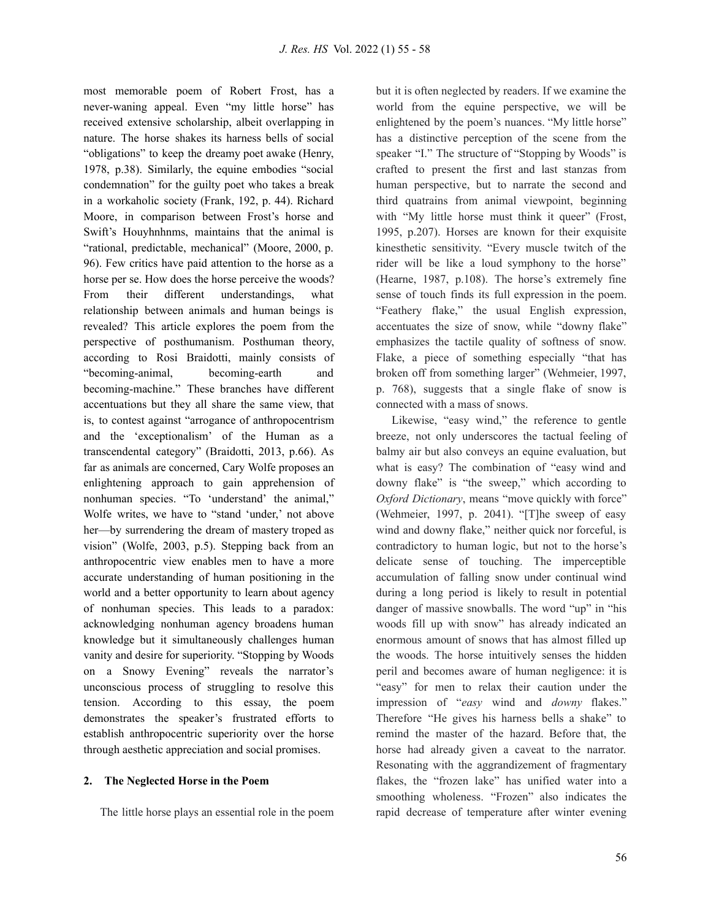most memorable poem of Robert Frost, has a never-waning appeal. Even "my little horse" has received extensive scholarship, albeit overlapping in nature. The horse shakes its harness bells of social "obligations" to keep the dreamy poet awake (Henry, 1978, p.38). Similarly, the equine embodies "social condemnation" for the guilty poet who takes a break in a workaholic society (Frank, 192, p. 44). Richard Moore, in comparison between Frost's horse and Swift's Houyhnhnms, maintains that the animal is "rational, predictable, mechanical" (Moore, 2000, p. 96). Few critics have paid attention to the horse as a horse per se. How does the horse perceive the woods? From their different understandings, what relationship between animals and human beings is revealed? This article explores the poem from the perspective of posthumanism. Posthuman theory, according to Rosi Braidotti, mainly consists of "becoming-animal, becoming-earth and becoming-machine." These branches have different accentuations but they all share the same view, that is, to contest against "arrogance of anthropocentrism and the 'exceptionalism' of the Human as a transcendental category" (Braidotti, 2013, p.66). As far as animals are concerned, Cary Wolfe proposes an enlightening approach to gain apprehension of nonhuman species. "To 'understand' the animal," Wolfe writes, we have to "stand 'under,' not above her—by surrendering the dream of mastery troped as vision" (Wolfe, 2003, p.5). Stepping back from an anthropocentric view enables men to have a more accurate understanding of human positioning in the world and a better opportunity to learn about agency of nonhuman species. This leads to a paradox: acknowledging nonhuman agency broadens human knowledge but it simultaneously challenges human vanity and desire for superiority. "Stopping by Woods on a Snowy Evening" reveals the narrator's unconscious process of struggling to resolve this tension. According to this essay, the poem demonstrates the speaker's frustrated efforts to establish anthropocentric superiority over the horse through aesthetic appreciation and social promises.

#### **2. The Neglected Horse in the Poem**

The little horse plays an essential role in the poem

but it is often neglected by readers. If we examine the world from the equine perspective, we will be enlightened by the poem's nuances. "My little horse" has a distinctive perception of the scene from the speaker "I." The structure of "Stopping by Woods" is crafted to present the first and last stanzas from human perspective, but to narrate the second and third quatrains from animal viewpoint, beginning with "My little horse must think it queer" (Frost, 1995, p.207). Horses are known for their exquisite kinesthetic sensitivity. "Every muscle twitch of the rider will be like a loud symphony to the horse" (Hearne, 1987, p.108). The horse's extremely fine sense of touch finds its full expression in the poem. "Feathery flake," the usual English expression, accentuates the size of snow, while "downy flake" emphasizes the tactile quality of softness of snow. Flake, a piece of something especially "that has broken off from something larger" (Wehmeier, 1997, p. 768), suggests that a single flake of snow is connected with a mass of snows.

Likewise, "easy wind," the reference to gentle breeze, not only underscores the tactual feeling of balmy air but also conveys an equine evaluation, but what is easy? The combination of "easy wind and downy flake" is "the sweep," which according to *Oxford Dictionary*, means "move quickly with force" (Wehmeier, 1997, p. 2041). "[T]he sweep of easy wind and downy flake," neither quick nor forceful, is contradictory to human logic, but not to the horse's delicate sense of touching. The imperceptible accumulation of falling snow under continual wind during a long period is likely to result in potential danger of massive snowballs. The word "up" in "his woods fill up with snow" has already indicated an enormous amount of snows that has almost filled up the woods. The horse intuitively senses the hidden peril and becomes aware of human negligence: it is "easy" for men to relax their caution under the impression of "*easy* wind and *downy* flakes." Therefore "He gives his harness bells a shake" to remind the master of the hazard. Before that, the horse had already given a caveat to the narrator. Resonating with the aggrandizement of fragmentary flakes, the "frozen lake" has unified water into a smoothing wholeness. "Frozen" also indicates the rapid decrease of temperature after winter evening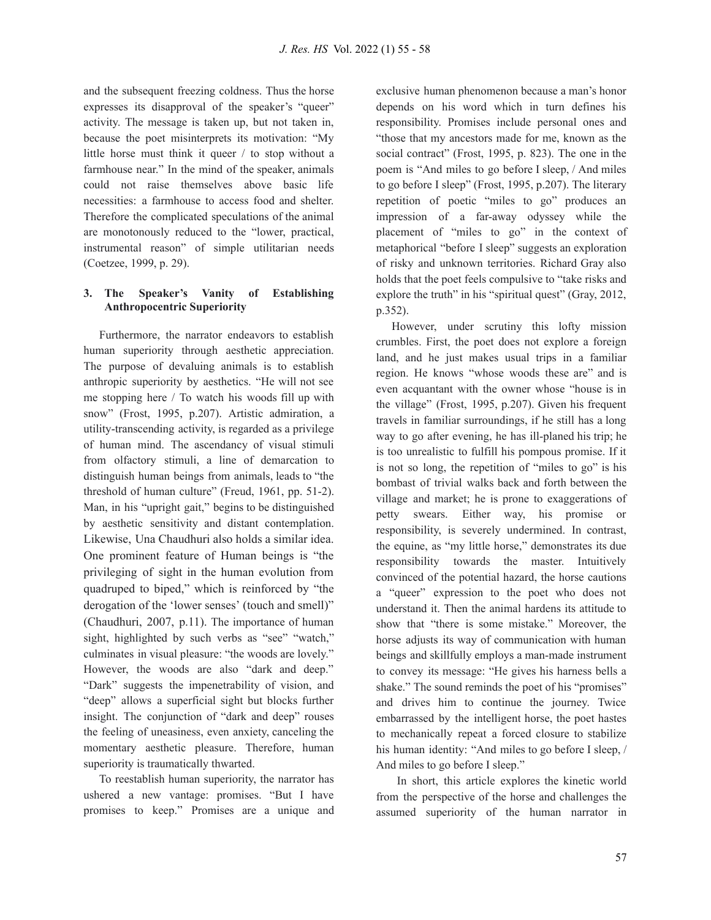and the subsequent freezing coldness. Thus the horse expresses its disapproval of the speaker's "queer" activity. The message is taken up, but not taken in, because the poet misinterprets its motivation: "My little horse must think it queer / to stop without a farmhouse near." In the mind of the speaker, animals could not raise themselves above basic life necessities: a farmhouse to access food and shelter. Therefore the complicated speculations of the animal are monotonously reduced to the "lower, practical, instrumental reason" of simple utilitarian needs (Coetzee, 1999, p. 29).

### **3. The Speaker's Vanity of Establishing Anthropocentric Superiority**

Furthermore, the narrator endeavors to establish human superiority through aesthetic appreciation. The purpose of devaluing animals is to establish anthropic superiority by aesthetics. "He will not see me stopping here / To watch his woods fill up with snow" (Frost, 1995, p.207). Artistic admiration, a utility-transcending activity, is regarded as a privilege of human mind. The ascendancy of visual stimuli from olfactory stimuli, a line of demarcation to distinguish human beings from animals, leads to "the threshold of human culture" (Freud, 1961, pp. 51-2). Man, in his "upright gait," begins to be distinguished by aesthetic sensitivity and distant contemplation. Likewise, Una Chaudhuri also holds a similar idea. One prominent feature of Human beings is "the privileging of sight in the human evolution from quadruped to biped," which is reinforced by "the derogation of the 'lower senses' (touch and smell)" (Chaudhuri, 2007, p.11). The importance of human sight, highlighted by such verbs as "see" "watch," culminates in visual pleasure: "the woods are lovely." However, the woods are also "dark and deep." "Dark" suggests the impenetrability of vision, and "deep" allows a superficial sight but blocks further insight. The conjunction of "dark and deep" rouses the feeling of uneasiness, even anxiety, canceling the momentary aesthetic pleasure. Therefore, human superiority is traumatically thwarted.

To reestablish human superiority, the narrator has ushered a new vantage: promises. "But I have promises to keep." Promises are a unique and

exclusive human phenomenon because a man's honor depends on his word which in turn defines his responsibility. Promises include personal ones and "those that my ancestors made for me, known as the social contract" (Frost, 1995, p. 823). The one in the poem is "And miles to go before I sleep, / And miles to go before I sleep" (Frost, 1995, p.207). The literary repetition of poetic "miles to go" produces an impression of a far-away odyssey while the placement of "miles to go" in the context of metaphorical "before I sleep" suggests an exploration of risky and unknown territories. Richard Gray also holds that the poet feels compulsive to "take risks and explore the truth" in his "spiritual quest" (Gray, 2012, p.352).

However, under scrutiny this lofty mission crumbles. First, the poet does not explore a foreign land, and he just makes usual trips in a familiar region. He knows "whose woods these are" and is even acquantant with the owner whose "house is in the village" (Frost, 1995, p.207). Given his frequent travels in familiar surroundings, if he still has a long way to go after evening, he has ill-planed his trip; he is too unrealistic to fulfill his pompous promise. If it is not so long, the repetition of "miles to go" is his bombast of trivial walks back and forth between the village and market; he is prone to exaggerations of petty swears. Either way, his promise or responsibility, is severely undermined. In contrast, the equine, as "my little horse," demonstrates its due responsibility towards the master. Intuitively convinced of the potential hazard, the horse cautions a "queer" expression to the poet who does not understand it. Then the animal hardens its attitude to show that "there is some mistake." Moreover, the horse adjusts its way of communication with human beings and skillfully employs a man-made instrument to convey its message: "He gives his harness bells a shake." The sound reminds the poet of his "promises" and drives him to continue the journey. Twice embarrassed by the intelligent horse, the poet hastes to mechanically repeat a forced closure to stabilize his human identity: "And miles to go before I sleep, / And miles to go before I sleep."

In short, this article explores the kinetic world from the perspective of the horse and challenges the assumed superiority of the human narrator in